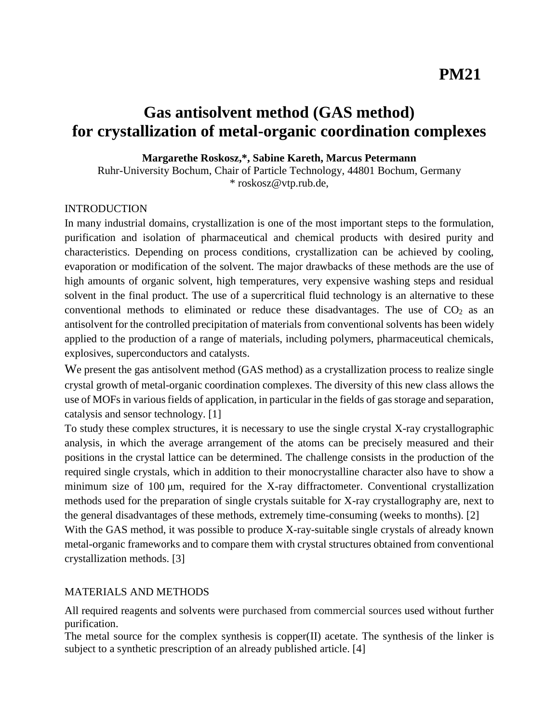# **Gas antisolvent method (GAS method) for crystallization of metal-organic coordination complexes**

**Margarethe Roskosz,\*, Sabine Kareth, Marcus Petermann**

Ruhr-University Bochum, Chair of Particle Technology, 44801 Bochum, Germany \* roskosz@vtp.rub.de,

#### INTRODUCTION

In many industrial domains, crystallization is one of the most important steps to the formulation, purification and isolation of pharmaceutical and chemical products with desired purity and characteristics. Depending on process conditions, crystallization can be achieved by cooling, evaporation or modification of the solvent. The major drawbacks of these methods are the use of high amounts of organic solvent, high temperatures, very expensive washing steps and residual solvent in the final product. The use of a supercritical fluid technology is an alternative to these conventional methods to eliminated or reduce these disadvantages. The use of  $CO<sub>2</sub>$  as an antisolvent for the controlled precipitation of materials from conventional solvents has been widely applied to the production of a range of materials, including polymers, pharmaceutical chemicals, explosives, superconductors and catalysts.

We present the gas antisolvent method (GAS method) as a crystallization process to realize single crystal growth of metal-organic coordination complexes. The diversity of this new class allows the use of MOFs in various fields of application, in particular in the fields of gas storage and separation, catalysis and sensor technology. [1]

To study these complex structures, it is necessary to use the single crystal X-ray crystallographic analysis, in which the average arrangement of the atoms can be precisely measured and their positions in the crystal lattice can be determined. The challenge consists in the production of the required single crystals, which in addition to their monocrystalline character also have to show a minimum size of 100 μm, required for the X-ray diffractometer. Conventional crystallization methods used for the preparation of single crystals suitable for X-ray crystallography are, next to the general disadvantages of these methods, extremely time-consuming (weeks to months). [2] With the GAS method, it was possible to produce X-ray-suitable single crystals of already known metal-organic frameworks and to compare them with crystal structures obtained from conventional crystallization methods. [3]

#### MATERIALS AND METHODS

All required reagents and solvents were purchased from commercial sources used without further purification.

The metal source for the complex synthesis is copper(II) acetate. The synthesis of the linker is subject to a synthetic prescription of an already published article. [4]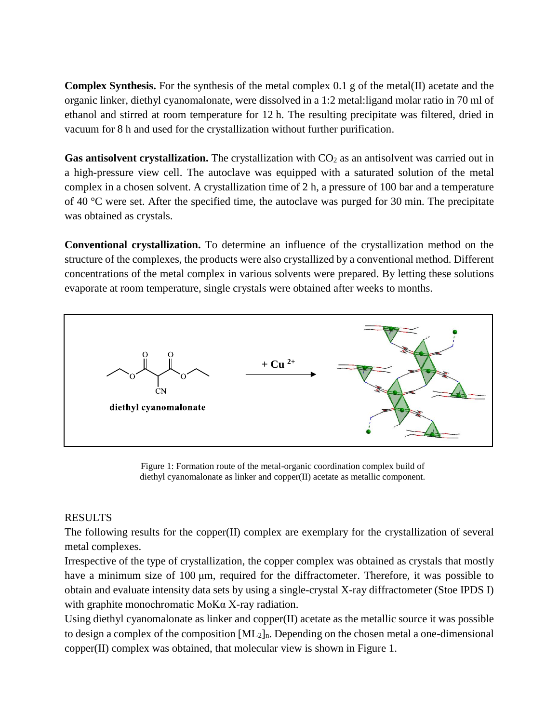**Complex Synthesis.** For the synthesis of the metal complex 0.1 g of the metal(II) acetate and the organic linker, diethyl cyanomalonate, were dissolved in a 1:2 metal:ligand molar ratio in 70 ml of ethanol and stirred at room temperature for 12 h. The resulting precipitate was filtered, dried in vacuum for 8 h and used for the crystallization without further purification.

Gas antisolvent crystallization. The crystallization with CO<sub>2</sub> as an antisolvent was carried out in a high-pressure view cell. The autoclave was equipped with a saturated solution of the metal complex in a chosen solvent. A crystallization time of 2 h, a pressure of 100 bar and a temperature of 40 °C were set. After the specified time, the autoclave was purged for 30 min. The precipitate was obtained as crystals.

**Conventional crystallization.** To determine an influence of the crystallization method on the structure of the complexes, the products were also crystallized by a conventional method. Different concentrations of the metal complex in various solvents were prepared. By letting these solutions evaporate at room temperature, single crystals were obtained after weeks to months.



Figure 1: Formation route of the metal-organic coordination complex build of diethyl cyanomalonate as linker and copper(II) acetate as metallic component.

## RESULTS

The following results for the copper(II) complex are exemplary for the crystallization of several metal complexes.

Irrespective of the type of crystallization, the copper complex was obtained as crystals that mostly have a minimum size of 100 μm, required for the diffractometer. Therefore, it was possible to obtain and evaluate intensity data sets by using a single-crystal X-ray diffractometer (Stoe IPDS I) with graphite monochromatic MoKα X-ray radiation.

Using diethyl cyanomalonate as linker and copper(II) acetate as the metallic source it was possible to design a complex of the composition  $[ML_2]_n$ . Depending on the chosen metal a one-dimensional copper(II) complex was obtained, that molecular view is shown in Figure 1.